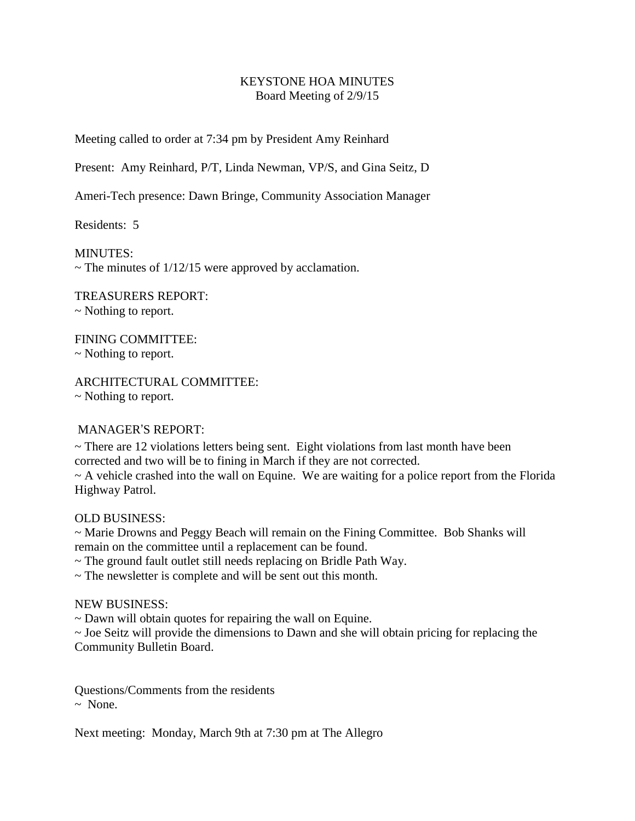## KEYSTONE HOA MINUTES Board Meeting of 2/9/15

Meeting called to order at 7:34 pm by President Amy Reinhard

Present: Amy Reinhard, P/T, Linda Newman, VP/S, and Gina Seitz, D

Ameri-Tech presence: Dawn Bringe, Community Association Manager

Residents: 5

MINUTES:  $\sim$  The minutes of 1/12/15 were approved by acclamation.

TREASURERS REPORT: ~ Nothing to report.

FINING COMMITTEE: ~ Nothing to report.

ARCHITECTURAL COMMITTEE: ~ Nothing to report.

## MANAGER'S REPORT:

 $\sim$  There are 12 violations letters being sent. Eight violations from last month have been corrected and two will be to fining in March if they are not corrected.

 $\sim$  A vehicle crashed into the wall on Equine. We are waiting for a police report from the Florida Highway Patrol.

OLD BUSINESS:

~ Marie Drowns and Peggy Beach will remain on the Fining Committee. Bob Shanks will remain on the committee until a replacement can be found.

~ The ground fault outlet still needs replacing on Bridle Path Way.

~ The newsletter is complete and will be sent out this month.

NEW BUSINESS:

~ Dawn will obtain quotes for repairing the wall on Equine.

~ Joe Seitz will provide the dimensions to Dawn and she will obtain pricing for replacing the Community Bulletin Board.

Questions/Comments from the residents  $\sim$  None.

Next meeting: Monday, March 9th at 7:30 pm at The Allegro